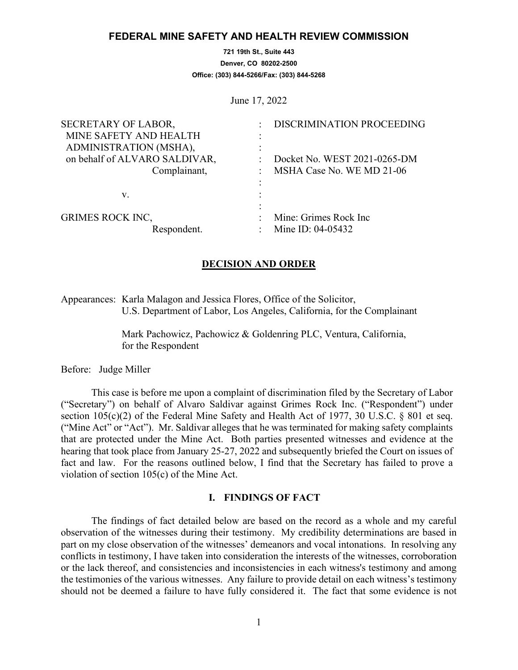### **FEDERAL MINE SAFETY AND HEALTH REVIEW COMMISSION**

**721 19th St., Suite 443 Denver, CO 80202-2500 Office: (303) 844-5266/Fax: (303) 844-5268**

June 17, 2022

| DISCRIMINATION PROCEEDING    |
|------------------------------|
|                              |
|                              |
| Docket No. WEST 2021-0265-DM |
| MSHA Case No. WE MD 21-06    |
|                              |
|                              |
|                              |
| Mine: Grimes Rock Inc        |
| Mine ID: 04-05432            |
|                              |

### **DECISION AND ORDER**

Appearances: Karla Malagon and Jessica Flores, Office of the Solicitor, U.S. Department of Labor, Los Angeles, California, for the Complainant

> Mark Pachowicz, Pachowicz & Goldenring PLC, Ventura, California, for the Respondent

Before: Judge Miller

This case is before me upon a complaint of discrimination filed by the Secretary of Labor ("Secretary") on behalf of Alvaro Saldivar against Grimes Rock Inc. ("Respondent") under section 105(c)(2) of the Federal Mine Safety and Health Act of 1977, 30 U.S.C. § 801 et seq. ("Mine Act" or "Act"). Mr. Saldivar alleges that he was terminated for making safety complaints that are protected under the Mine Act. Both parties presented witnesses and evidence at the hearing that took place from January 25-27, 2022 and subsequently briefed the Court on issues of fact and law. For the reasons outlined below, I find that the Secretary has failed to prove a violation of section 105(c) of the Mine Act.

## **I. FINDINGS OF FACT**

The findings of fact detailed below are based on the record as a whole and my careful observation of the witnesses during their testimony. My credibility determinations are based in part on my close observation of the witnesses' demeanors and vocal intonations. In resolving any conflicts in testimony, I have taken into consideration the interests of the witnesses, corroboration or the lack thereof, and consistencies and inconsistencies in each witness's testimony and among the testimonies of the various witnesses. Any failure to provide detail on each witness's testimony should not be deemed a failure to have fully considered it. The fact that some evidence is not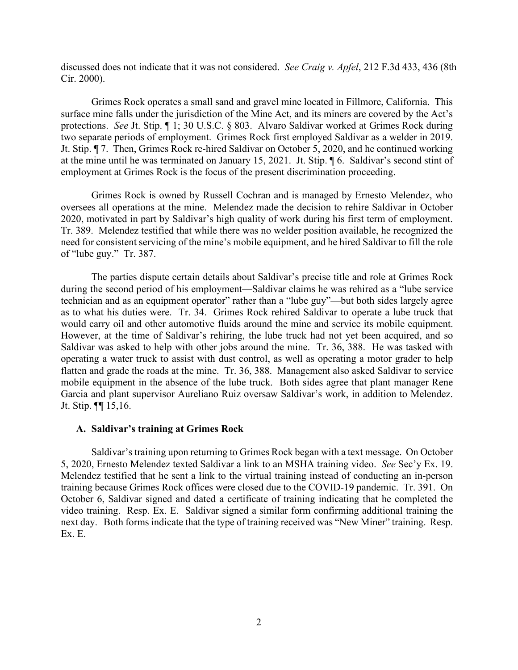discussed does not indicate that it was not considered. *See Craig v. Apfel*, 212 F.3d 433, 436 (8th Cir. 2000).

Grimes Rock operates a small sand and gravel mine located in Fillmore, California. This surface mine falls under the jurisdiction of the Mine Act, and its miners are covered by the Act's protections. *See* Jt. Stip. ¶ 1; 30 U.S.C. § 803. Alvaro Saldivar worked at Grimes Rock during two separate periods of employment. Grimes Rock first employed Saldivar as a welder in 2019. Jt. Stip. ¶ 7. Then, Grimes Rock re-hired Saldivar on October 5, 2020, and he continued working at the mine until he was terminated on January 15, 2021. Jt. Stip. ¶ 6. Saldivar's second stint of employment at Grimes Rock is the focus of the present discrimination proceeding.

Grimes Rock is owned by Russell Cochran and is managed by Ernesto Melendez, who oversees all operations at the mine. Melendez made the decision to rehire Saldivar in October 2020, motivated in part by Saldivar's high quality of work during his first term of employment. Tr. 389. Melendez testified that while there was no welder position available, he recognized the need for consistent servicing of the mine's mobile equipment, and he hired Saldivar to fill the role of "lube guy." Tr. 387.

The parties dispute certain details about Saldivar's precise title and role at Grimes Rock during the second period of his employment—Saldivar claims he was rehired as a "lube service technician and as an equipment operator" rather than a "lube guy"—but both sides largely agree as to what his duties were. Tr. 34. Grimes Rock rehired Saldivar to operate a lube truck that would carry oil and other automotive fluids around the mine and service its mobile equipment. However, at the time of Saldivar's rehiring, the lube truck had not yet been acquired, and so Saldivar was asked to help with other jobs around the mine. Tr. 36, 388. He was tasked with operating a water truck to assist with dust control, as well as operating a motor grader to help flatten and grade the roads at the mine. Tr. 36, 388. Management also asked Saldivar to service mobile equipment in the absence of the lube truck. Both sides agree that plant manager Rene Garcia and plant supervisor Aureliano Ruiz oversaw Saldivar's work, in addition to Melendez. Jt. Stip. ¶¶ 15,16.

### **A. Saldivar's training at Grimes Rock**

Saldivar's training upon returning to Grimes Rock began with a text message. On October 5, 2020, Ernesto Melendez texted Saldivar a link to an MSHA training video. *See* Sec'y Ex. 19. Melendez testified that he sent a link to the virtual training instead of conducting an in-person training because Grimes Rock offices were closed due to the COVID-19 pandemic. Tr. 391. On October 6, Saldivar signed and dated a certificate of training indicating that he completed the video training. Resp. Ex. E. Saldivar signed a similar form confirming additional training the next day. Both forms indicate that the type of training received was "New Miner" training. Resp. Ex. E.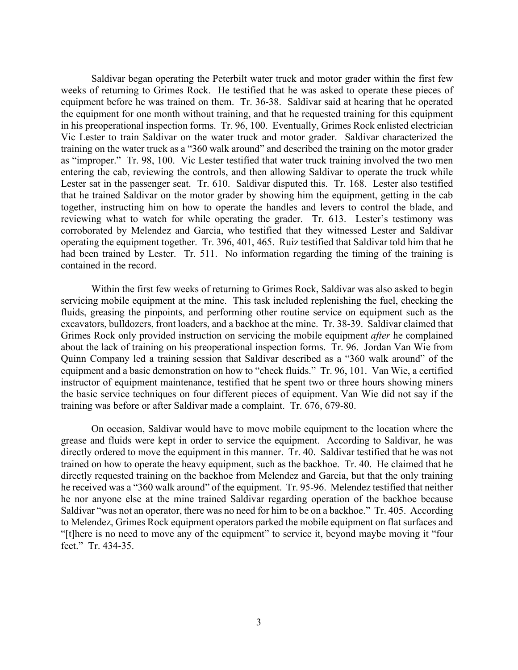Saldivar began operating the Peterbilt water truck and motor grader within the first few weeks of returning to Grimes Rock. He testified that he was asked to operate these pieces of equipment before he was trained on them. Tr. 36-38. Saldivar said at hearing that he operated the equipment for one month without training, and that he requested training for this equipment in his preoperational inspection forms. Tr. 96, 100. Eventually, Grimes Rock enlisted electrician Vic Lester to train Saldivar on the water truck and motor grader. Saldivar characterized the training on the water truck as a "360 walk around" and described the training on the motor grader as "improper." Tr. 98, 100. Vic Lester testified that water truck training involved the two men entering the cab, reviewing the controls, and then allowing Saldivar to operate the truck while Lester sat in the passenger seat. Tr. 610. Saldivar disputed this. Tr. 168. Lester also testified that he trained Saldivar on the motor grader by showing him the equipment, getting in the cab together, instructing him on how to operate the handles and levers to control the blade, and reviewing what to watch for while operating the grader. Tr. 613. Lester's testimony was corroborated by Melendez and Garcia, who testified that they witnessed Lester and Saldivar operating the equipment together. Tr. 396, 401, 465. Ruiz testified that Saldivar told him that he had been trained by Lester. Tr. 511. No information regarding the timing of the training is contained in the record.

Within the first few weeks of returning to Grimes Rock, Saldivar was also asked to begin servicing mobile equipment at the mine. This task included replenishing the fuel, checking the fluids, greasing the pinpoints, and performing other routine service on equipment such as the excavators, bulldozers, front loaders, and a backhoe at the mine. Tr. 38-39. Saldivar claimed that Grimes Rock only provided instruction on servicing the mobile equipment *after* he complained about the lack of training on his preoperational inspection forms. Tr. 96. Jordan Van Wie from Quinn Company led a training session that Saldivar described as a "360 walk around" of the equipment and a basic demonstration on how to "check fluids." Tr. 96, 101. Van Wie, a certified instructor of equipment maintenance, testified that he spent two or three hours showing miners the basic service techniques on four different pieces of equipment. Van Wie did not say if the training was before or after Saldivar made a complaint. Tr. 676, 679-80.

On occasion, Saldivar would have to move mobile equipment to the location where the grease and fluids were kept in order to service the equipment. According to Saldivar, he was directly ordered to move the equipment in this manner. Tr. 40. Saldivar testified that he was not trained on how to operate the heavy equipment, such as the backhoe. Tr. 40. He claimed that he directly requested training on the backhoe from Melendez and Garcia, but that the only training he received was a "360 walk around" of the equipment. Tr. 95-96. Melendez testified that neither he nor anyone else at the mine trained Saldivar regarding operation of the backhoe because Saldivar "was not an operator, there was no need for him to be on a backhoe." Tr. 405. According to Melendez, Grimes Rock equipment operators parked the mobile equipment on flat surfaces and "[t]here is no need to move any of the equipment" to service it, beyond maybe moving it "four feet." Tr. 434-35.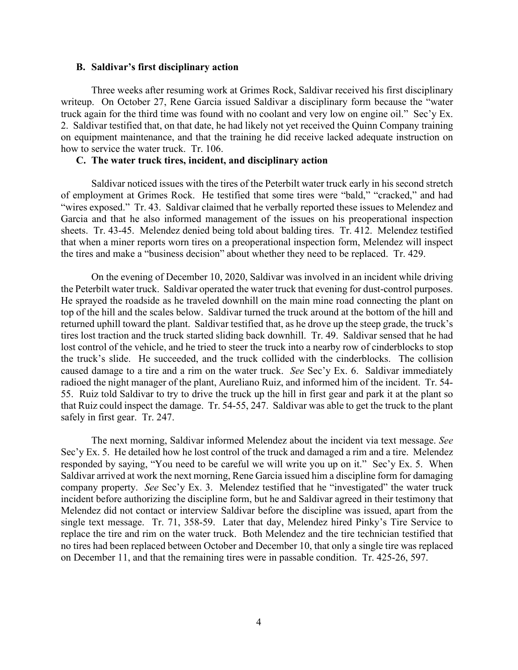### **B. Saldivar's first disciplinary action**

Three weeks after resuming work at Grimes Rock, Saldivar received his first disciplinary writeup. On October 27, Rene Garcia issued Saldivar a disciplinary form because the "water truck again for the third time was found with no coolant and very low on engine oil." Sec'y Ex. 2. Saldivar testified that, on that date, he had likely not yet received the Quinn Company training on equipment maintenance, and that the training he did receive lacked adequate instruction on how to service the water truck. Tr. 106.

# **C. The water truck tires, incident, and disciplinary action**

Saldivar noticed issues with the tires of the Peterbilt water truck early in his second stretch of employment at Grimes Rock. He testified that some tires were "bald," "cracked," and had "wires exposed." Tr. 43. Saldivar claimed that he verbally reported these issues to Melendez and Garcia and that he also informed management of the issues on his preoperational inspection sheets. Tr. 43-45. Melendez denied being told about balding tires. Tr. 412. Melendez testified that when a miner reports worn tires on a preoperational inspection form, Melendez will inspect the tires and make a "business decision" about whether they need to be replaced. Tr. 429.

On the evening of December 10, 2020, Saldivar was involved in an incident while driving the Peterbilt water truck. Saldivar operated the water truck that evening for dust-control purposes. He sprayed the roadside as he traveled downhill on the main mine road connecting the plant on top of the hill and the scales below. Saldivar turned the truck around at the bottom of the hill and returned uphill toward the plant. Saldivar testified that, as he drove up the steep grade, the truck's tires lost traction and the truck started sliding back downhill. Tr. 49. Saldivar sensed that he had lost control of the vehicle, and he tried to steer the truck into a nearby row of cinderblocks to stop the truck's slide. He succeeded, and the truck collided with the cinderblocks. The collision caused damage to a tire and a rim on the water truck. *See* Sec'y Ex. 6. Saldivar immediately radioed the night manager of the plant, Aureliano Ruiz, and informed him of the incident. Tr. 54- 55. Ruiz told Saldivar to try to drive the truck up the hill in first gear and park it at the plant so that Ruiz could inspect the damage. Tr. 54-55, 247. Saldivar was able to get the truck to the plant safely in first gear. Tr. 247.

The next morning, Saldivar informed Melendez about the incident via text message. *See* Sec'y Ex. 5. He detailed how he lost control of the truck and damaged a rim and a tire. Melendez responded by saying, "You need to be careful we will write you up on it." Sec'y Ex. 5. When Saldivar arrived at work the next morning, Rene Garcia issued him a discipline form for damaging company property. *See* Sec'y Ex. 3. Melendez testified that he "investigated" the water truck incident before authorizing the discipline form, but he and Saldivar agreed in their testimony that Melendez did not contact or interview Saldivar before the discipline was issued, apart from the single text message. Tr. 71, 358-59. Later that day, Melendez hired Pinky's Tire Service to replace the tire and rim on the water truck. Both Melendez and the tire technician testified that no tires had been replaced between October and December 10, that only a single tire was replaced on December 11, and that the remaining tires were in passable condition. Tr. 425-26, 597.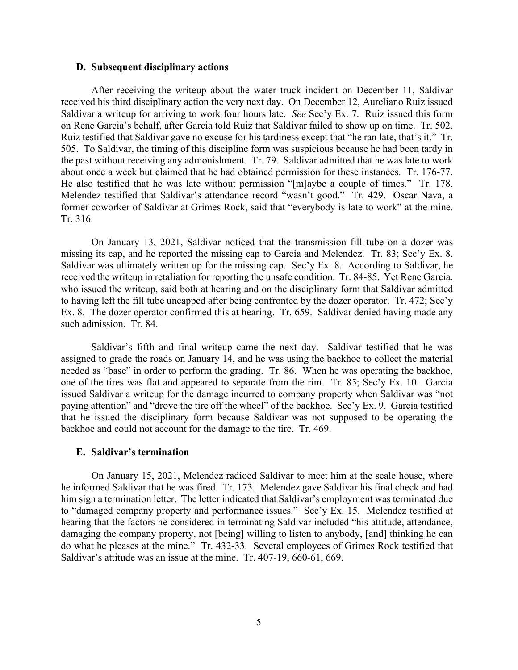### **D. Subsequent disciplinary actions**

After receiving the writeup about the water truck incident on December 11, Saldivar received his third disciplinary action the very next day. On December 12, Aureliano Ruiz issued Saldivar a writeup for arriving to work four hours late. *See* Sec'y Ex. 7. Ruiz issued this form on Rene Garcia's behalf, after Garcia told Ruiz that Saldivar failed to show up on time. Tr. 502. Ruiz testified that Saldivar gave no excuse for his tardiness except that "he ran late, that's it." Tr. 505. To Saldivar, the timing of this discipline form was suspicious because he had been tardy in the past without receiving any admonishment. Tr. 79. Saldivar admitted that he was late to work about once a week but claimed that he had obtained permission for these instances. Tr. 176-77. He also testified that he was late without permission "[m]aybe a couple of times." Tr. 178. Melendez testified that Saldivar's attendance record "wasn't good." Tr. 429. Oscar Nava, a former coworker of Saldivar at Grimes Rock, said that "everybody is late to work" at the mine. Tr. 316.

On January 13, 2021, Saldivar noticed that the transmission fill tube on a dozer was missing its cap, and he reported the missing cap to Garcia and Melendez. Tr. 83; Sec'y Ex. 8. Saldivar was ultimately written up for the missing cap. Sec'y Ex. 8. According to Saldivar, he received the writeup in retaliation for reporting the unsafe condition. Tr. 84-85. Yet Rene Garcia, who issued the writeup, said both at hearing and on the disciplinary form that Saldivar admitted to having left the fill tube uncapped after being confronted by the dozer operator. Tr. 472; Sec'y Ex. 8. The dozer operator confirmed this at hearing. Tr. 659. Saldivar denied having made any such admission. Tr. 84.

Saldivar's fifth and final writeup came the next day. Saldivar testified that he was assigned to grade the roads on January 14, and he was using the backhoe to collect the material needed as "base" in order to perform the grading. Tr. 86. When he was operating the backhoe, one of the tires was flat and appeared to separate from the rim. Tr. 85; Sec'y Ex. 10. Garcia issued Saldivar a writeup for the damage incurred to company property when Saldivar was "not paying attention" and "drove the tire off the wheel" of the backhoe. Sec'y Ex. 9. Garcia testified that he issued the disciplinary form because Saldivar was not supposed to be operating the backhoe and could not account for the damage to the tire. Tr. 469.

### **E. Saldivar's termination**

On January 15, 2021, Melendez radioed Saldivar to meet him at the scale house, where he informed Saldivar that he was fired. Tr. 173. Melendez gave Saldivar his final check and had him sign a termination letter. The letter indicated that Saldivar's employment was terminated due to "damaged company property and performance issues." Sec'y Ex. 15. Melendez testified at hearing that the factors he considered in terminating Saldivar included "his attitude, attendance, damaging the company property, not [being] willing to listen to anybody, [and] thinking he can do what he pleases at the mine." Tr. 432-33. Several employees of Grimes Rock testified that Saldivar's attitude was an issue at the mine. Tr. 407-19, 660-61, 669.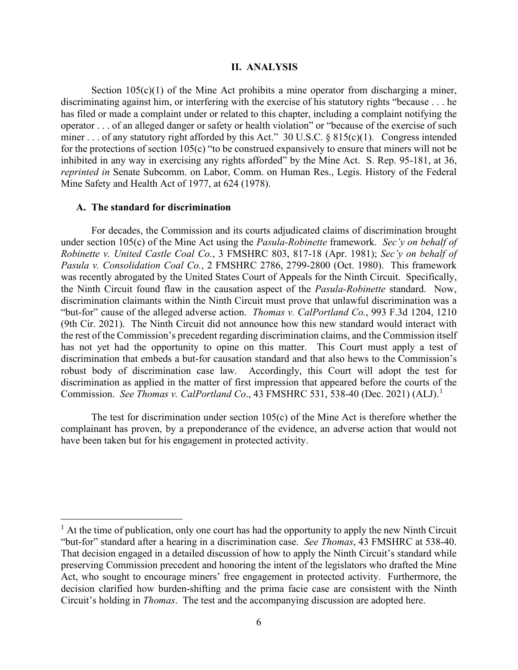#### **II. ANALYSIS**

Section  $105(c)(1)$  of the Mine Act prohibits a mine operator from discharging a miner, discriminating against him, or interfering with the exercise of his statutory rights "because . . . he has filed or made a complaint under or related to this chapter, including a complaint notifying the operator . . . of an alleged danger or safety or health violation" or "because of the exercise of such miner . . . of any statutory right afforded by this Act." 30 U.S.C. § 815(c)(1). Congress intended for the protections of section 105(c) "to be construed expansively to ensure that miners will not be inhibited in any way in exercising any rights afforded" by the Mine Act. S. Rep. 95-181, at 36, *reprinted in* Senate Subcomm. on Labor, Comm. on Human Res., Legis. History of the Federal Mine Safety and Health Act of 1977, at 624 (1978).

### **A. The standard for discrimination**

For decades, the Commission and its courts adjudicated claims of discrimination brought under section 105(c) of the Mine Act using the *Pasula-Robinette* framework. *Sec'y on behalf of Robinette v. United Castle Coal Co.*, 3 FMSHRC 803, 817-18 (Apr. 1981); *Sec'y on behalf of Pasula v. Consolidation Coal Co.*, 2 FMSHRC 2786, 2799-2800 (Oct. 1980). This framework was recently abrogated by the United States Court of Appeals for the Ninth Circuit. Specifically, the Ninth Circuit found flaw in the causation aspect of the *Pasula-Robinette* standard. Now, discrimination claimants within the Ninth Circuit must prove that unlawful discrimination was a "but-for" cause of the alleged adverse action. *Thomas v. CalPortland Co.*, 993 F.3d 1204, 1210 (9th Cir. 2021). The Ninth Circuit did not announce how this new standard would interact with the rest of the Commission's precedent regarding discrimination claims, and the Commission itself has not yet had the opportunity to opine on this matter. This Court must apply a test of discrimination that embeds a but-for causation standard and that also hews to the Commission's robust body of discrimination case law. Accordingly, this Court will adopt the test for discrimination as applied in the matter of first impression that appeared before the courts of the Commission. *See Thomas v. CalPortland Co*., 43 FMSHRC 531, 538-40 (Dec. 2021) (ALJ). [1](#page-5-0)

The test for discrimination under section  $105(c)$  of the Mine Act is therefore whether the complainant has proven, by a preponderance of the evidence, an adverse action that would not have been taken but for his engagement in protected activity.

<span id="page-5-0"></span> $<sup>1</sup>$  At the time of publication, only one court has had the opportunity to apply the new Ninth Circuit</sup> "but-for" standard after a hearing in a discrimination case. *See Thomas*, 43 FMSHRC at 538-40. That decision engaged in a detailed discussion of how to apply the Ninth Circuit's standard while preserving Commission precedent and honoring the intent of the legislators who drafted the Mine Act, who sought to encourage miners' free engagement in protected activity. Furthermore, the decision clarified how burden-shifting and the prima facie case are consistent with the Ninth Circuit's holding in *Thomas*. The test and the accompanying discussion are adopted here.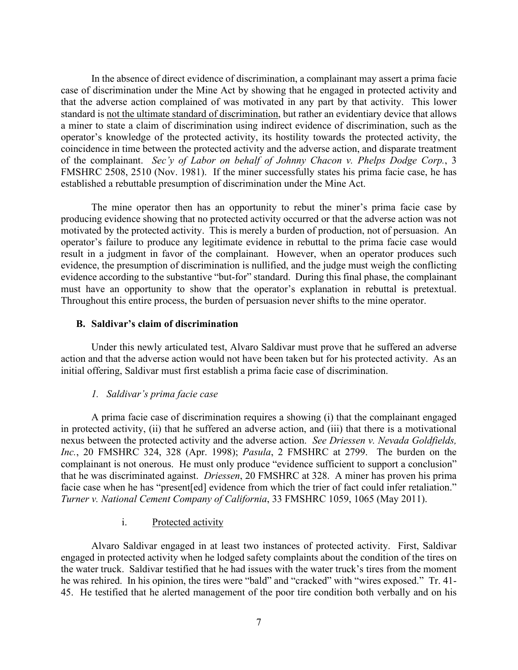In the absence of direct evidence of discrimination, a complainant may assert a prima facie case of discrimination under the Mine Act by showing that he engaged in protected activity and that the adverse action complained of was motivated in any part by that activity. This lower standard is not the ultimate standard of discrimination, but rather an evidentiary device that allows a miner to state a claim of discrimination using indirect evidence of discrimination, such as the operator's knowledge of the protected activity, its hostility towards the protected activity, the coincidence in time between the protected activity and the adverse action, and disparate treatment of the complainant. *Sec'y of Labor on behalf of Johnny Chacon v. Phelps Dodge Corp.*, 3 FMSHRC 2508, 2510 (Nov. 1981). If the miner successfully states his prima facie case, he has established a rebuttable presumption of discrimination under the Mine Act.

The mine operator then has an opportunity to rebut the miner's prima facie case by producing evidence showing that no protected activity occurred or that the adverse action was not motivated by the protected activity. This is merely a burden of production, not of persuasion. An operator's failure to produce any legitimate evidence in rebuttal to the prima facie case would result in a judgment in favor of the complainant. However, when an operator produces such evidence, the presumption of discrimination is nullified, and the judge must weigh the conflicting evidence according to the substantive "but-for" standard. During this final phase, the complainant must have an opportunity to show that the operator's explanation in rebuttal is pretextual. Throughout this entire process, the burden of persuasion never shifts to the mine operator.

## **B. Saldivar's claim of discrimination**

Under this newly articulated test, Alvaro Saldivar must prove that he suffered an adverse action and that the adverse action would not have been taken but for his protected activity. As an initial offering, Saldivar must first establish a prima facie case of discrimination.

## *1. Saldivar's prima facie case*

A prima facie case of discrimination requires a showing (i) that the complainant engaged in protected activity, (ii) that he suffered an adverse action, and (iii) that there is a motivational nexus between the protected activity and the adverse action. *See Driessen v. Nevada Goldfields, Inc.*, 20 FMSHRC 324, 328 (Apr. 1998); *Pasula*, 2 FMSHRC at 2799. The burden on the complainant is not onerous. He must only produce "evidence sufficient to support a conclusion" that he was discriminated against. *Driessen*, 20 FMSHRC at 328. A miner has proven his prima facie case when he has "present[ed] evidence from which the trier of fact could infer retaliation." *Turner v. National Cement Company of California*, 33 FMSHRC 1059, 1065 (May 2011).

## i. Protected activity

Alvaro Saldivar engaged in at least two instances of protected activity. First, Saldivar engaged in protected activity when he lodged safety complaints about the condition of the tires on the water truck. Saldivar testified that he had issues with the water truck's tires from the moment he was rehired. In his opinion, the tires were "bald" and "cracked" with "wires exposed." Tr. 41- 45. He testified that he alerted management of the poor tire condition both verbally and on his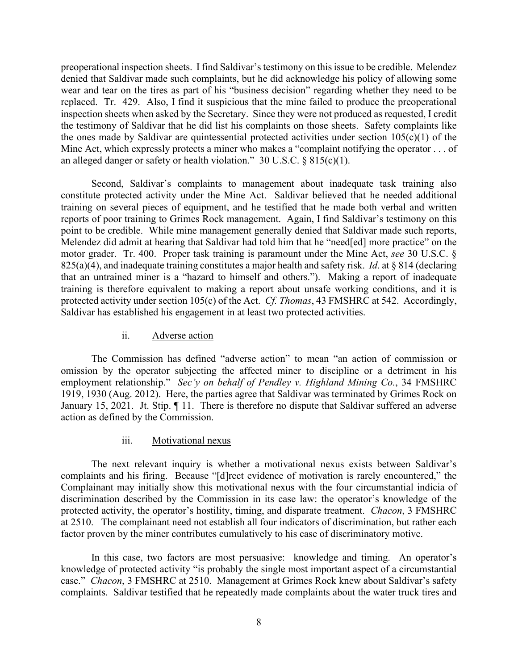preoperational inspection sheets. I find Saldivar's testimony on this issue to be credible. Melendez denied that Saldivar made such complaints, but he did acknowledge his policy of allowing some wear and tear on the tires as part of his "business decision" regarding whether they need to be replaced. Tr. 429. Also, I find it suspicious that the mine failed to produce the preoperational inspection sheets when asked by the Secretary. Since they were not produced as requested, I credit the testimony of Saldivar that he did list his complaints on those sheets. Safety complaints like the ones made by Saldivar are quintessential protected activities under section  $105(c)(1)$  of the Mine Act, which expressly protects a miner who makes a "complaint notifying the operator . . . of an alleged danger or safety or health violation." 30 U.S.C. § 815(c)(1).

Second, Saldivar's complaints to management about inadequate task training also constitute protected activity under the Mine Act. Saldivar believed that he needed additional training on several pieces of equipment, and he testified that he made both verbal and written reports of poor training to Grimes Rock management. Again, I find Saldivar's testimony on this point to be credible. While mine management generally denied that Saldivar made such reports, Melendez did admit at hearing that Saldivar had told him that he "need[ed] more practice" on the motor grader. Tr. 400. Proper task training is paramount under the Mine Act, *see* 30 U.S.C. § 825(a)(4), and inadequate training constitutes a major health and safety risk. *Id*. at § 814 (declaring that an untrained miner is a "hazard to himself and others."). Making a report of inadequate training is therefore equivalent to making a report about unsafe working conditions, and it is protected activity under section 105(c) of the Act. *Cf. Thomas*, 43 FMSHRC at 542. Accordingly, Saldivar has established his engagement in at least two protected activities.

## ii. Adverse action

The Commission has defined "adverse action" to mean "an action of commission or omission by the operator subjecting the affected miner to discipline or a detriment in his employment relationship." *Sec'y on behalf of Pendley v. Highland Mining Co.*, 34 FMSHRC 1919, 1930 (Aug. 2012). Here, the parties agree that Saldivar was terminated by Grimes Rock on January 15, 2021. Jt. Stip.  $\P$  11. There is therefore no dispute that Saldivar suffered an adverse action as defined by the Commission.

### iii. Motivational nexus

The next relevant inquiry is whether a motivational nexus exists between Saldivar's complaints and his firing. Because "[d]rect evidence of motivation is rarely encountered," the Complainant may initially show this motivational nexus with the four circumstantial indicia of discrimination described by the Commission in its case law: the operator's knowledge of the protected activity, the operator's hostility, timing, and disparate treatment. *Chacon*, 3 FMSHRC at 2510. The complainant need not establish all four indicators of discrimination, but rather each factor proven by the miner contributes cumulatively to his case of discriminatory motive.

In this case, two factors are most persuasive: knowledge and timing. An operator's knowledge of protected activity "is probably the single most important aspect of a circumstantial case." *Chacon*, 3 FMSHRC at 2510. Management at Grimes Rock knew about Saldivar's safety complaints. Saldivar testified that he repeatedly made complaints about the water truck tires and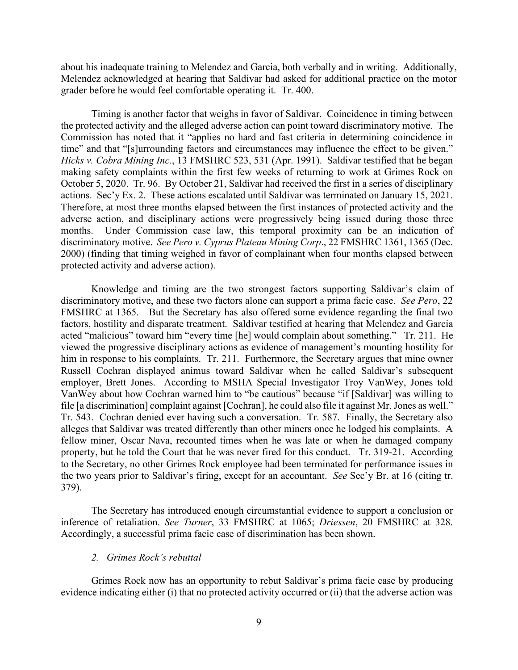about his inadequate training to Melendez and Garcia, both verbally and in writing. Additionally, Melendez acknowledged at hearing that Saldivar had asked for additional practice on the motor grader before he would feel comfortable operating it. Tr. 400.

Timing is another factor that weighs in favor of Saldivar. Coincidence in timing between the protected activity and the alleged adverse action can point toward discriminatory motive. The Commission has noted that it "applies no hard and fast criteria in determining coincidence in time" and that "[s]urrounding factors and circumstances may influence the effect to be given." *Hicks v. Cobra Mining Inc.*, 13 FMSHRC 523, 531 (Apr. 1991). Saldivar testified that he began making safety complaints within the first few weeks of returning to work at Grimes Rock on October 5, 2020. Tr. 96. By October 21, Saldivar had received the first in a series of disciplinary actions. Sec'y Ex. 2. These actions escalated until Saldivar was terminated on January 15, 2021. Therefore, at most three months elapsed between the first instances of protected activity and the adverse action, and disciplinary actions were progressively being issued during those three months. Under Commission case law, this temporal proximity can be an indication of discriminatory motive. *See Pero v. Cyprus Plateau Mining Corp*., 22 FMSHRC 1361, 1365 (Dec. 2000) (finding that timing weighed in favor of complainant when four months elapsed between protected activity and adverse action).

Knowledge and timing are the two strongest factors supporting Saldivar's claim of discriminatory motive, and these two factors alone can support a prima facie case. *See Pero*, 22 FMSHRC at 1365. But the Secretary has also offered some evidence regarding the final two factors, hostility and disparate treatment. Saldivar testified at hearing that Melendez and Garcia acted "malicious" toward him "every time [he] would complain about something." Tr. 211. He viewed the progressive disciplinary actions as evidence of management's mounting hostility for him in response to his complaints. Tr. 211. Furthermore, the Secretary argues that mine owner Russell Cochran displayed animus toward Saldivar when he called Saldivar's subsequent employer, Brett Jones. According to MSHA Special Investigator Troy VanWey, Jones told VanWey about how Cochran warned him to "be cautious" because "if [Saldivar] was willing to file [a discrimination] complaint against [Cochran], he could also file it against Mr. Jones as well." Tr. 543. Cochran denied ever having such a conversation. Tr. 587. Finally, the Secretary also alleges that Saldivar was treated differently than other miners once he lodged his complaints. A fellow miner, Oscar Nava, recounted times when he was late or when he damaged company property, but he told the Court that he was never fired for this conduct. Tr. 319-21. According to the Secretary, no other Grimes Rock employee had been terminated for performance issues in the two years prior to Saldivar's firing, except for an accountant. *See* Sec'y Br. at 16 (citing tr. 379).

The Secretary has introduced enough circumstantial evidence to support a conclusion or inference of retaliation. *See Turner*, 33 FMSHRC at 1065; *Driessen*, 20 FMSHRC at 328. Accordingly, a successful prima facie case of discrimination has been shown.

### *2. Grimes Rock's rebuttal*

Grimes Rock now has an opportunity to rebut Saldivar's prima facie case by producing evidence indicating either (i) that no protected activity occurred or (ii) that the adverse action was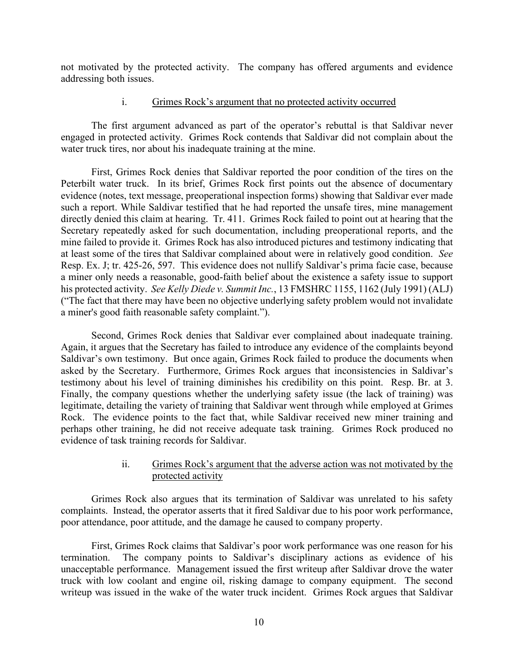not motivated by the protected activity. The company has offered arguments and evidence addressing both issues.

## i. Grimes Rock's argument that no protected activity occurred

The first argument advanced as part of the operator's rebuttal is that Saldivar never engaged in protected activity. Grimes Rock contends that Saldivar did not complain about the water truck tires, nor about his inadequate training at the mine.

First, Grimes Rock denies that Saldivar reported the poor condition of the tires on the Peterbilt water truck. In its brief, Grimes Rock first points out the absence of documentary evidence (notes, text message, preoperational inspection forms) showing that Saldivar ever made such a report. While Saldivar testified that he had reported the unsafe tires, mine management directly denied this claim at hearing. Tr. 411. Grimes Rock failed to point out at hearing that the Secretary repeatedly asked for such documentation, including preoperational reports, and the mine failed to provide it. Grimes Rock has also introduced pictures and testimony indicating that at least some of the tires that Saldivar complained about were in relatively good condition. *See* Resp. Ex. J; tr. 425-26, 597. This evidence does not nullify Saldivar's prima facie case, because a miner only needs a reasonable, good-faith belief about the existence a safety issue to support his protected activity. *See Kelly Diede v. Summit Inc.*, 13 FMSHRC 1155, 1162 (July 1991) (ALJ) ("The fact that there may have been no objective underlying safety problem would not invalidate a miner's good faith reasonable safety complaint.").

Second, Grimes Rock denies that Saldivar ever complained about inadequate training. Again, it argues that the Secretary has failed to introduce any evidence of the complaints beyond Saldivar's own testimony. But once again, Grimes Rock failed to produce the documents when asked by the Secretary. Furthermore, Grimes Rock argues that inconsistencies in Saldivar's testimony about his level of training diminishes his credibility on this point. Resp. Br. at 3. Finally, the company questions whether the underlying safety issue (the lack of training) was legitimate, detailing the variety of training that Saldivar went through while employed at Grimes Rock. The evidence points to the fact that, while Saldivar received new miner training and perhaps other training, he did not receive adequate task training. Grimes Rock produced no evidence of task training records for Saldivar.

# ii. Grimes Rock's argument that the adverse action was not motivated by the protected activity

Grimes Rock also argues that its termination of Saldivar was unrelated to his safety complaints. Instead, the operator asserts that it fired Saldivar due to his poor work performance, poor attendance, poor attitude, and the damage he caused to company property.

First, Grimes Rock claims that Saldivar's poor work performance was one reason for his termination. The company points to Saldivar's disciplinary actions as evidence of his unacceptable performance. Management issued the first writeup after Saldivar drove the water truck with low coolant and engine oil, risking damage to company equipment. The second writeup was issued in the wake of the water truck incident. Grimes Rock argues that Saldivar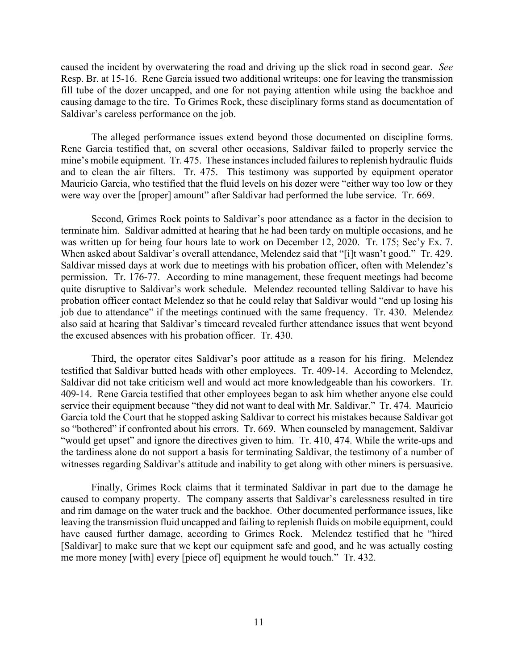caused the incident by overwatering the road and driving up the slick road in second gear. *See* Resp. Br. at 15-16. Rene Garcia issued two additional writeups: one for leaving the transmission fill tube of the dozer uncapped, and one for not paying attention while using the backhoe and causing damage to the tire. To Grimes Rock, these disciplinary forms stand as documentation of Saldivar's careless performance on the job.

The alleged performance issues extend beyond those documented on discipline forms. Rene Garcia testified that, on several other occasions, Saldivar failed to properly service the mine's mobile equipment. Tr. 475. These instances included failures to replenish hydraulic fluids and to clean the air filters. Tr. 475. This testimony was supported by equipment operator Mauricio Garcia, who testified that the fluid levels on his dozer were "either way too low or they were way over the [proper] amount" after Saldivar had performed the lube service. Tr. 669.

Second, Grimes Rock points to Saldivar's poor attendance as a factor in the decision to terminate him. Saldivar admitted at hearing that he had been tardy on multiple occasions, and he was written up for being four hours late to work on December 12, 2020. Tr. 175; Sec'y Ex. 7. When asked about Saldivar's overall attendance, Melendez said that "[i]t wasn't good." Tr. 429. Saldivar missed days at work due to meetings with his probation officer, often with Melendez's permission. Tr. 176-77. According to mine management, these frequent meetings had become quite disruptive to Saldivar's work schedule. Melendez recounted telling Saldivar to have his probation officer contact Melendez so that he could relay that Saldivar would "end up losing his job due to attendance" if the meetings continued with the same frequency. Tr. 430. Melendez also said at hearing that Saldivar's timecard revealed further attendance issues that went beyond the excused absences with his probation officer. Tr. 430.

Third, the operator cites Saldivar's poor attitude as a reason for his firing. Melendez testified that Saldivar butted heads with other employees. Tr. 409-14. According to Melendez, Saldivar did not take criticism well and would act more knowledgeable than his coworkers. Tr. 409-14. Rene Garcia testified that other employees began to ask him whether anyone else could service their equipment because "they did not want to deal with Mr. Saldivar." Tr. 474. Mauricio Garcia told the Court that he stopped asking Saldivar to correct his mistakes because Saldivar got so "bothered" if confronted about his errors. Tr. 669. When counseled by management, Saldivar "would get upset" and ignore the directives given to him. Tr. 410, 474. While the write-ups and the tardiness alone do not support a basis for terminating Saldivar, the testimony of a number of witnesses regarding Saldivar's attitude and inability to get along with other miners is persuasive.

Finally, Grimes Rock claims that it terminated Saldivar in part due to the damage he caused to company property. The company asserts that Saldivar's carelessness resulted in tire and rim damage on the water truck and the backhoe. Other documented performance issues, like leaving the transmission fluid uncapped and failing to replenish fluids on mobile equipment, could have caused further damage, according to Grimes Rock. Melendez testified that he "hired [Saldivar] to make sure that we kept our equipment safe and good, and he was actually costing me more money [with] every [piece of] equipment he would touch." Tr. 432.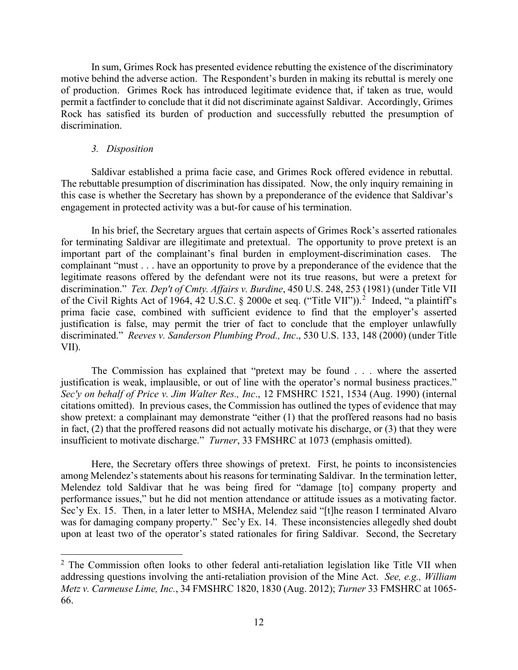In sum, Grimes Rock has presented evidence rebutting the existence of the discriminatory motive behind the adverse action. The Respondent's burden in making its rebuttal is merely one of production. Grimes Rock has introduced legitimate evidence that, if taken as true, would permit a factfinder to conclude that it did not discriminate against Saldivar. Accordingly, Grimes Rock has satisfied its burden of production and successfully rebutted the presumption of discrimination.

#### *3. Disposition*

Saldivar established a prima facie case, and Grimes Rock offered evidence in rebuttal. The rebuttable presumption of discrimination has dissipated. Now, the only inquiry remaining in this case is whether the Secretary has shown by a preponderance of the evidence that Saldivar's engagement in protected activity was a but-for cause of his termination.

In his brief, the Secretary argues that certain aspects of Grimes Rock's asserted rationales for terminating Saldivar are illegitimate and pretextual. The opportunity to prove pretext is an important part of the complainant's final burden in employment-discrimination cases. The complainant "must . . . have an opportunity to prove by a preponderance of the evidence that the legitimate reasons offered by the defendant were not its true reasons, but were a pretext for discrimination." *Tex. Dep't of Cmty. Affairs v. Burdine*, 450 U.S. 248, 253 (1981) (under Title VII of the Civil Rights Act of 1964, 4[2](#page-11-0) U.S.C. § 2000e et seq. ("Title VII")).<sup>2</sup> Indeed, "a plaintiff's prima facie case, combined with sufficient evidence to find that the employer's asserted justification is false, may permit the trier of fact to conclude that the employer unlawfully discriminated." *Reeves v. Sanderson Plumbing Prod., Inc*., 530 U.S. 133, 148 (2000) (under Title VII).

The Commission has explained that "pretext may be found . . . where the asserted justification is weak, implausible, or out of line with the operator's normal business practices." *Sec'y on behalf of Price v. Jim Walter Res., Inc*., 12 FMSHRC 1521, 1534 (Aug. 1990) (internal citations omitted). In previous cases, the Commission has outlined the types of evidence that may show pretext: a complainant may demonstrate "either (1) that the proffered reasons had no basis in fact, (2) that the proffered reasons did not actually motivate his discharge, or (3) that they were insufficient to motivate discharge." *Turner*, 33 FMSHRC at 1073 (emphasis omitted).

Here, the Secretary offers three showings of pretext. First, he points to inconsistencies among Melendez's statements about his reasons for terminating Saldivar. In the termination letter, Melendez told Saldivar that he was being fired for "damage [to] company property and performance issues," but he did not mention attendance or attitude issues as a motivating factor. Sec'y Ex. 15. Then, in a later letter to MSHA, Melendez said "[t]he reason I terminated Alvaro was for damaging company property." Sec'y Ex. 14. These inconsistencies allegedly shed doubt upon at least two of the operator's stated rationales for firing Saldivar. Second, the Secretary

<span id="page-11-0"></span><sup>&</sup>lt;sup>2</sup> The Commission often looks to other federal anti-retaliation legislation like Title VII when addressing questions involving the anti-retaliation provision of the Mine Act. *See, e.g., William Metz v. Carmeuse Lime, Inc.*, 34 FMSHRC 1820, 1830 (Aug. 2012); *Turner* 33 FMSHRC at 1065- 66.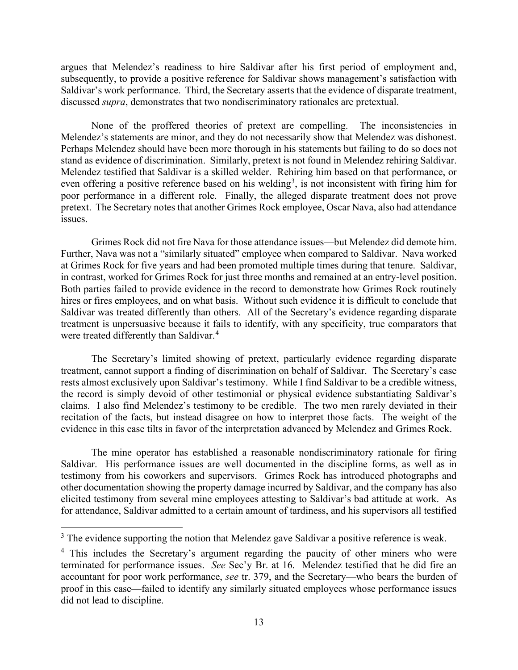argues that Melendez's readiness to hire Saldivar after his first period of employment and, subsequently, to provide a positive reference for Saldivar shows management's satisfaction with Saldivar's work performance. Third, the Secretary asserts that the evidence of disparate treatment, discussed *supra*, demonstrates that two nondiscriminatory rationales are pretextual.

None of the proffered theories of pretext are compelling. The inconsistencies in Melendez's statements are minor, and they do not necessarily show that Melendez was dishonest. Perhaps Melendez should have been more thorough in his statements but failing to do so does not stand as evidence of discrimination. Similarly, pretext is not found in Melendez rehiring Saldivar. Melendez testified that Saldivar is a skilled welder. Rehiring him based on that performance, or even offering a positive reference based on his welding<sup>[3](#page-12-0)</sup>, is not inconsistent with firing him for poor performance in a different role. Finally, the alleged disparate treatment does not prove pretext. The Secretary notes that another Grimes Rock employee, Oscar Nava, also had attendance issues.

Grimes Rock did not fire Nava for those attendance issues—but Melendez did demote him. Further, Nava was not a "similarly situated" employee when compared to Saldivar. Nava worked at Grimes Rock for five years and had been promoted multiple times during that tenure. Saldivar, in contrast, worked for Grimes Rock for just three months and remained at an entry-level position. Both parties failed to provide evidence in the record to demonstrate how Grimes Rock routinely hires or fires employees, and on what basis. Without such evidence it is difficult to conclude that Saldivar was treated differently than others. All of the Secretary's evidence regarding disparate treatment is unpersuasive because it fails to identify, with any specificity, true comparators that were treated differently than Saldivar.<sup>[4](#page-12-1)</sup>

The Secretary's limited showing of pretext, particularly evidence regarding disparate treatment, cannot support a finding of discrimination on behalf of Saldivar. The Secretary's case rests almost exclusively upon Saldivar's testimony. While I find Saldivar to be a credible witness, the record is simply devoid of other testimonial or physical evidence substantiating Saldivar's claims. I also find Melendez's testimony to be credible. The two men rarely deviated in their recitation of the facts, but instead disagree on how to interpret those facts. The weight of the evidence in this case tilts in favor of the interpretation advanced by Melendez and Grimes Rock.

The mine operator has established a reasonable nondiscriminatory rationale for firing Saldivar. His performance issues are well documented in the discipline forms, as well as in testimony from his coworkers and supervisors. Grimes Rock has introduced photographs and other documentation showing the property damage incurred by Saldivar, and the company has also elicited testimony from several mine employees attesting to Saldivar's bad attitude at work. As for attendance, Saldivar admitted to a certain amount of tardiness, and his supervisors all testified

<span id="page-12-0"></span><sup>&</sup>lt;sup>3</sup> The evidence supporting the notion that Melendez gave Saldivar a positive reference is weak.

<span id="page-12-1"></span><sup>&</sup>lt;sup>4</sup> This includes the Secretary's argument regarding the paucity of other miners who were terminated for performance issues. *See* Sec'y Br. at 16. Melendez testified that he did fire an accountant for poor work performance, *see* tr. 379, and the Secretary—who bears the burden of proof in this case—failed to identify any similarly situated employees whose performance issues did not lead to discipline.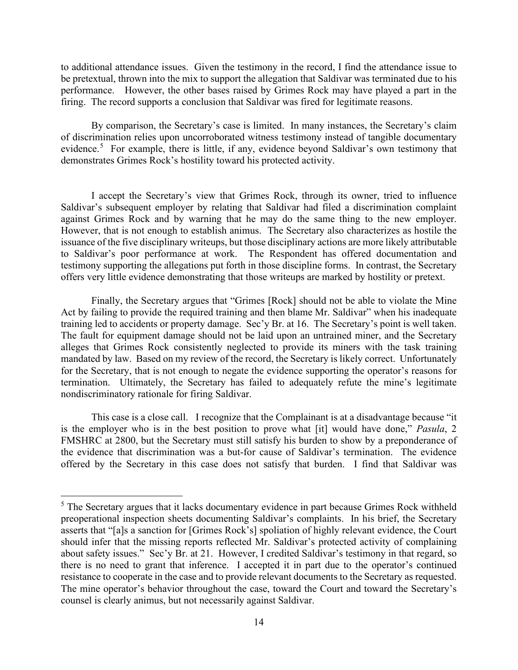to additional attendance issues. Given the testimony in the record, I find the attendance issue to be pretextual, thrown into the mix to support the allegation that Saldivar was terminated due to his performance. However, the other bases raised by Grimes Rock may have played a part in the firing. The record supports a conclusion that Saldivar was fired for legitimate reasons.

By comparison, the Secretary's case is limited. In many instances, the Secretary's claim of discrimination relies upon uncorroborated witness testimony instead of tangible documentary evidence.<sup>[5](#page-13-0)</sup> For example, there is little, if any, evidence beyond Saldivar's own testimony that demonstrates Grimes Rock's hostility toward his protected activity.

I accept the Secretary's view that Grimes Rock, through its owner, tried to influence Saldivar's subsequent employer by relating that Saldivar had filed a discrimination complaint against Grimes Rock and by warning that he may do the same thing to the new employer. However, that is not enough to establish animus. The Secretary also characterizes as hostile the issuance of the five disciplinary writeups, but those disciplinary actions are more likely attributable to Saldivar's poor performance at work. The Respondent has offered documentation and testimony supporting the allegations put forth in those discipline forms. In contrast, the Secretary offers very little evidence demonstrating that those writeups are marked by hostility or pretext.

Finally, the Secretary argues that "Grimes [Rock] should not be able to violate the Mine Act by failing to provide the required training and then blame Mr. Saldivar" when his inadequate training led to accidents or property damage. Sec'y Br. at 16. The Secretary's point is well taken. The fault for equipment damage should not be laid upon an untrained miner, and the Secretary alleges that Grimes Rock consistently neglected to provide its miners with the task training mandated by law. Based on my review of the record, the Secretary is likely correct. Unfortunately for the Secretary, that is not enough to negate the evidence supporting the operator's reasons for termination. Ultimately, the Secretary has failed to adequately refute the mine's legitimate nondiscriminatory rationale for firing Saldivar.

This case is a close call. I recognize that the Complainant is at a disadvantage because "it is the employer who is in the best position to prove what [it] would have done," *Pasula*, 2 FMSHRC at 2800, but the Secretary must still satisfy his burden to show by a preponderance of the evidence that discrimination was a but-for cause of Saldivar's termination. The evidence offered by the Secretary in this case does not satisfy that burden. I find that Saldivar was

<span id="page-13-0"></span><sup>&</sup>lt;sup>5</sup> The Secretary argues that it lacks documentary evidence in part because Grimes Rock withheld preoperational inspection sheets documenting Saldivar's complaints. In his brief, the Secretary asserts that "[a]s a sanction for [Grimes Rock's] spoliation of highly relevant evidence, the Court should infer that the missing reports reflected Mr. Saldivar's protected activity of complaining about safety issues." Sec'y Br. at 21. However, I credited Saldivar's testimony in that regard, so there is no need to grant that inference. I accepted it in part due to the operator's continued resistance to cooperate in the case and to provide relevant documents to the Secretary as requested. The mine operator's behavior throughout the case, toward the Court and toward the Secretary's counsel is clearly animus, but not necessarily against Saldivar.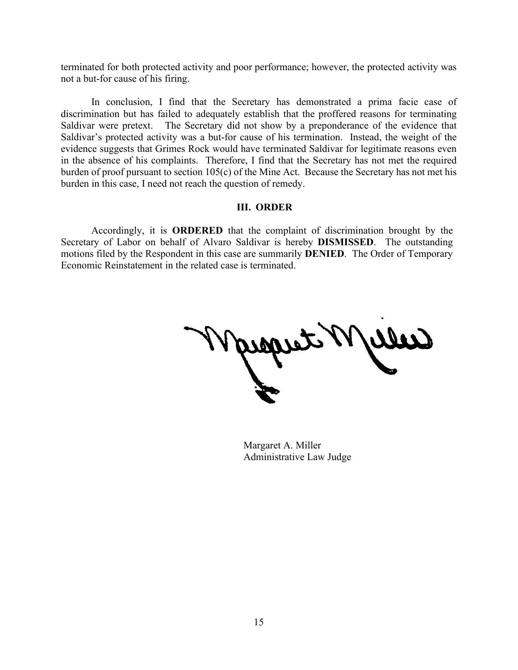terminated for both protected activity and poor performance; however, the protected activity was not a but-for cause of his firing.

In conclusion, I find that the Secretary has demonstrated a prima facie case of discrimination but has failed to adequately establish that the proffered reasons for terminating Saldivar were pretext. The Secretary did not show by a preponderance of the evidence that Saldivar's protected activity was a but-for cause of his termination. Instead, the weight of the evidence suggests that Grimes Rock would have terminated Saldivar for legitimate reasons even in the absence of his complaints. Therefore, I find that the Secretary has not met the required burden of proof pursuant to section 105(c) of the Mine Act. Because the Secretary has not met his burden in this case, I need not reach the question of remedy.

## **III. ORDER**

Accordingly, it is **ORDERED** that the complaint of discrimination brought by the Secretary of Labor on behalf of Alvaro Saldivar is hereby **DISMISSED**. The outstanding motions filed by the Respondent in this case are summarily **DENIED**. The Order of Temporary Economic Reinstatement in the related case is terminated.

ams

Margaret A. Miller Administrative Law Judge